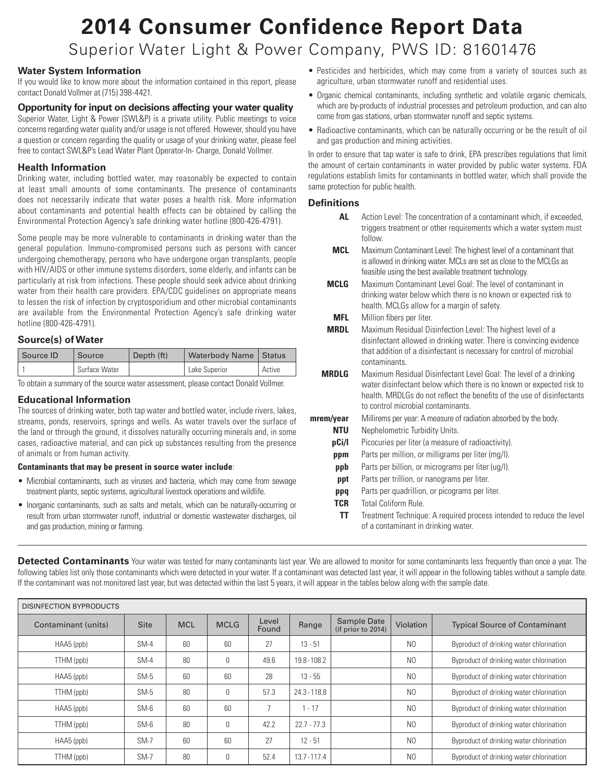# **2014 Consumer Confidence Report Data** Superior Water Light & Power Company, PWS ID: 81601476

# **Water System Information**

If you would like to know more about the information contained in this report, please contact Donald Vollmer at (715) 398-4421.

## **Opportunity for input on decisions affecting your water quality**

Superior Water, Light & Power (SWL&P) is a private utility. Public meetings to voice concerns regarding water quality and/or usage is not offered. However, should you have a question or concern regarding the quality or usage of your drinking water, please feel free to contact SWL&P's Lead Water Plant Operator-In- Charge, Donald Vollmer.

### **Health Information**

Drinking water, including bottled water, may reasonably be expected to contain at least small amounts of some contaminants. The presence of contaminants does not necessarily indicate that water poses a health risk. More information about contaminants and potential health effects can be obtained by calling the Environmental Protection Agency's safe drinking water hotline (800-426-4791).

Some people may be more vulnerable to contaminants in drinking water than the general population. Immuno-compromised persons such as persons with cancer undergoing chemotherapy, persons who have undergone organ transplants, people with HIV/AIDS or other immune systems disorders, some elderly, and infants can be particularly at risk from infections. These people should seek advice about drinking water from their health care providers. EPA/CDC guidelines on appropriate means to lessen the risk of infection by cryptosporidium and other microbial contaminants are available from the Environmental Protection Agency's safe drinking water hotline (800-426-4791).

## **Source(s) of Water**

| Source ID | Source        | Depth (ft) | Waterbody Name   Status |        |
|-----------|---------------|------------|-------------------------|--------|
|           | Surface Water |            | Lake Superior           | Active |

To obtain a summary of the source water assessment, please contact Donald Vollmer.

## **Educational Information**

The sources of drinking water, both tap water and bottled water, include rivers, lakes, streams, ponds, reservoirs, springs and wells. As water travels over the surface of the land or through the ground, it dissolves naturally occurring minerals and, in some cases, radioactive material, and can pick up substances resulting from the presence of animals or from human activity.

#### **Contaminants that may be present in source water include**:

- Microbial contaminants, such as viruses and bacteria, which may come from sewage treatment plants, septic systems, agricultural livestock operations and wildlife.
- Inorganic contaminants, such as salts and metals, which can be naturally-occurring or result from urban stormwater runoff, industrial or domestic wastewater discharges, oil and gas production, mining or farming.
- Pesticides and herbicides, which may come from a variety of sources such as agriculture, urban stormwater runoff and residential uses.
- Organic chemical contaminants, including synthetic and volatile organic chemicals, which are by-products of industrial processes and petroleum production, and can also come from gas stations, urban stormwater runoff and septic systems.
- Radioactive contaminants, which can be naturally occurring or be the result of oil and gas production and mining activities.

In order to ensure that tap water is safe to drink, EPA prescribes regulations that limit the amount of certain contaminants in water provided by public water systems. FDA regulations establish limits for contaminants in bottled water, which shall provide the same protection for public health.

# **Definitions**

- **AL** Action Level: The concentration of a contaminant which, if exceeded, triggers treatment or other requirements which a water system must follow.
- **MCL** Maximum Contaminant Level: The highest level of a contaminant that is allowed in drinking water. MCLs are set as close to the MCLGs as feasible using the best available treatment technology.
- **MCLG** Maximum Contaminant Level Goal: The level of contaminant in drinking water below which there is no known or expected risk to health. MCLGs allow for a margin of safety.
- **MFL** Million fibers per liter.
- **MRDL** Maximum Residual Disinfection Level: The highest level of a disinfectant allowed in drinking water. There is convincing evidence that addition of a disinfectant is necessary for control of microbial contaminants.
- **MRDLG** Maximum Residual Disinfectant Level Goal: The level of a drinking water disinfectant below which there is no known or expected risk to health. MRDLGs do not reflect the benefits of the use of disinfectants to control microbial contaminants.
- **mrem/year** Millirems per year: A measure of radiation absorbed by the body.
	- **NTU** Nephelometric Turbidity Units.
	- **pCi/l** Picocuries per liter (a measure of radioactivity).
	- **ppm** Parts per million, or milligrams per liter (mg/l).
	- **ppb** Parts per billion, or micrograms per liter (ug/l).
	- **ppt** Parts per trillion, or nanograms per liter.
	- **ppq** Parts per quadrillion, or picograms per liter.
	- **TCR** Total Coliform Rule.
		- **TT** Treatment Technique: A required process intended to reduce the level of a contaminant in drinking water.

**Detected Contaminants** Your water was tested for many contaminants last year. We are allowed to monitor for some contaminants less frequently than once a year. The following tables list only those contaminants which were detected in your water. If a contaminant was detected last year, it will appear in the following tables without a sample date. If the contaminant was not monitored last year, but was detected within the last 5 years, it will appear in the tables below along with the sample date.

| <b>DISINFECTION BYPRODUCTS</b> |             |            |             |                |                |                                          |                |                                          |
|--------------------------------|-------------|------------|-------------|----------------|----------------|------------------------------------------|----------------|------------------------------------------|
| Contaminant (units)            | <b>Site</b> | <b>MCL</b> | <b>MCLG</b> | Level<br>Found | Range          | <b>Sample Date</b><br>(if prior to 2014) | Violation      | <b>Typical Source of Contaminant</b>     |
| HAA5 (ppb)                     | $SM-4$      | 60         | 60          | 27             | $13 - 51$      |                                          | N <sub>0</sub> | Byproduct of drinking water chlorination |
| TTHM (ppb)                     | $SM-4$      | 80         | 0           | 49.6           | 19.8 - 108.2   |                                          | N <sub>0</sub> | Byproduct of drinking water chlorination |
| $HAAS$ (ppb)                   | $SM-5$      | 60         | 60          | 28             | $13 - 55$      |                                          | N <sub>0</sub> | Byproduct of drinking water chlorination |
| (ppb) TTHM                     | $SM-5$      | 80         | 0           | 57.3           | $24.3 - 118.8$ |                                          | N <sub>0</sub> | Byproduct of drinking water chlorination |
| $HAAS$ (ppb)                   | $SM-6$      | 60         | 60          |                | $-17$          |                                          | N <sub>0</sub> | Byproduct of drinking water chlorination |
| TTHM (ppb)                     | $SM-6$      | 80         | 0           | 42.2           | $22.7 - 77.3$  |                                          | N <sub>0</sub> | Byproduct of drinking water chlorination |
| HAA5 (ppb)                     | $SM-7$      | 60         | 60          | 27             | $12 - 51$      |                                          | N <sub>0</sub> | Byproduct of drinking water chlorination |
| TTHM (ppb)                     | $SM-7$      | 80         | 0           | 52.4           | $13.7 - 117.4$ |                                          | N <sub>0</sub> | Byproduct of drinking water chlorination |